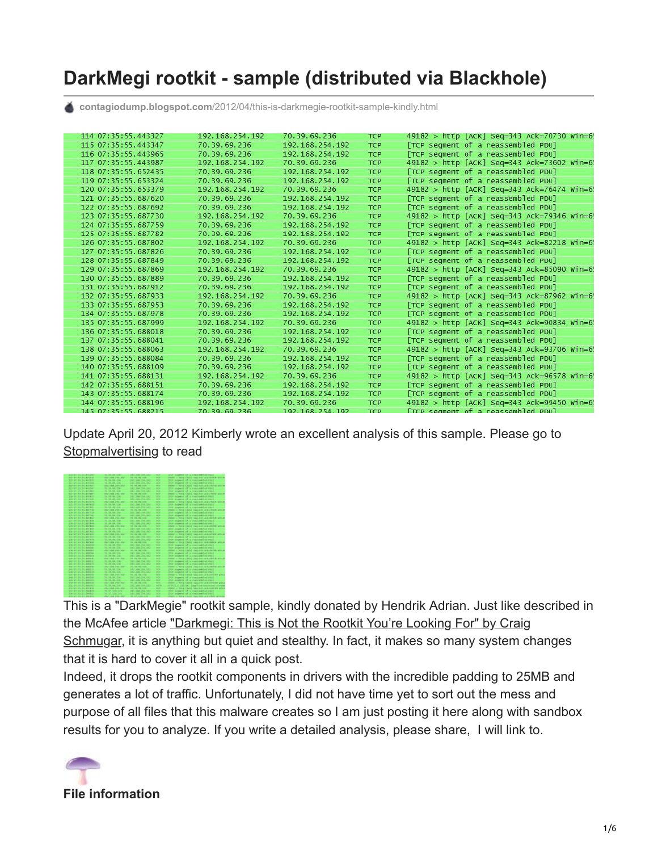# **DarkMegi rootkit - sample (distributed via Blackhole)**

**contagiodump.blogspot.com**[/2012/04/this-is-darkmegie-rootkit-sample-kindly.html](http://contagiodump.blogspot.com/2012/04/this-is-darkmegie-rootkit-sample-kindly.html)

| 114 07:35:55.443327 | 192.168.254.192 | 70.39.69.236    | <b>TCP</b> | 49182 > http [ACK] Seq=343 Ack=70730 Win=6! |
|---------------------|-----------------|-----------------|------------|---------------------------------------------|
| 115 07:35:55.443347 | 70.39.69.236    | 192.168.254.192 | <b>TCP</b> | [TCP segment of a reassembled PDU]          |
| 116 07:35:55.443965 | 70.39.69.236    | 192.168.254.192 | <b>TCP</b> | [TCP segment of a reassembled PDU]          |
| 117 07:35:55.443987 | 192.168.254.192 | 70.39.69.236    | <b>TCP</b> | 49182 > http [ACK] Seq=343 Ack=73602 Win=6! |
| 118 07:35:55.652435 | 70.39.69.236    | 192.168.254.192 | <b>TCP</b> | [TCP segment of a reassembled PDU]          |
| 119 07:35:55.653324 | 70.39.69.236    | 192.168.254.192 | <b>TCP</b> | [TCP segment of a reassembled PDU]          |
| 120 07:35:55.653379 | 192.168.254.192 | 70.39.69.236    | <b>TCP</b> | 49182 > http [ACK] Seq=343 Ack=76474 Win=6! |
| 121 07:35:55.687620 | 70.39.69.236    | 192.168.254.192 | <b>TCP</b> | [TCP segment of a reassembled PDU]          |
| 122 07:35:55.687692 | 70.39.69.236    | 192.168.254.192 | <b>TCP</b> | [TCP segment of a reassembled PDU]          |
| 123 07:35:55.687730 | 192.168.254.192 | 70.39.69.236    | <b>TCP</b> | 49182 > http [ACK] Seq=343 Ack=79346 Win=6! |
| 124 07:35:55.687759 | 70.39.69.236    | 192.168.254.192 | <b>TCP</b> | [TCP segment of a reassembled PDU]          |
| 125 07:35:55.687782 | 70.39.69.236    | 192.168.254.192 | <b>TCP</b> | [TCP segment of a reassembled PDU]          |
| 126 07:35:55.687802 | 192.168.254.192 | 70.39.69.236    | <b>TCP</b> | 49182 > http [ACK] Seq=343 Ack=82218 Win=6! |
| 127 07:35:55.687826 | 70.39.69.236    | 192.168.254.192 | <b>TCP</b> | [TCP segment of a reassembled PDU]          |
| 128 07:35:55.687849 | 70.39.69.236    | 192.168.254.192 | <b>TCP</b> | [TCP segment of a reassembled PDU]          |
| 129 07:35:55.687869 | 192.168.254.192 | 70.39.69.236    | <b>TCP</b> | 49182 > http [ACK] Seq=343 Ack=85090 Win=6! |
| 130 07:35:55.687889 | 70.39.69.236    | 192.168.254.192 | <b>TCP</b> | [TCP segment of a reassembled PDU]          |
| 131 07:35:55.687912 | 70.39.69.236    | 192.168.254.192 | <b>TCP</b> | [TCP segment of a reassembled PDU]          |
| 132 07:35:55.687933 | 192.168.254.192 | 70.39.69.236    | <b>TCP</b> | 49182 > http [ACK] Seq=343 Ack=87962 Win=6! |
| 133 07:35:55.687953 | 70.39.69.236    | 192.168.254.192 | <b>TCP</b> | [TCP segment of a reassembled PDU]          |
| 134 07:35:55.687978 | 70.39.69.236    | 192.168.254.192 | <b>TCP</b> | [TCP segment of a reassembled PDU]          |
| 135 07:35:55.687999 | 192.168.254.192 | 70.39.69.236    | <b>TCP</b> | 49182 > http [ACK] Seq=343 Ack=90834 Win=6! |
| 136 07:35:55.688018 | 70.39.69.236    | 192.168.254.192 | <b>TCP</b> | [TCP segment of a reassembled PDU]          |
| 137 07:35:55.688041 | 70.39.69.236    | 192.168.254.192 | <b>TCP</b> | [TCP segment of a reassembled PDU]          |
| 138 07:35:55.688063 | 192.168.254.192 | 70.39.69.236    | <b>TCP</b> | 49182 > http [ACK] Seq=343 Ack=93706 Win=6! |
| 139 07:35:55.688084 | 70.39.69.236    | 192.168.254.192 | <b>TCP</b> | [TCP segment of a reassembled PDU]          |
| 140 07:35:55.688109 | 70.39.69.236    | 192.168.254.192 | <b>TCP</b> | [TCP segment of a reassembled PDU]          |
| 141 07:35:55.688131 | 192.168.254.192 | 70.39.69.236    | <b>TCP</b> | 49182 > http [ACK] Seq=343 Ack=96578 Win=6! |
| 142 07:35:55.688151 | 70.39.69.236    | 192.168.254.192 | <b>TCP</b> | [TCP segment of a reassembled PDU]          |
| 143 07:35:55.688174 | 70.39.69.236    | 192.168.254.192 | <b>TCP</b> | [TCP segment of a reassembled PDU]          |
| 144 07:35:55.688196 | 192.168.254.192 | 70.39.69.236    | <b>TCP</b> | 49182 > http [ACK] Seq=343 Ack=99450 Win=6! |
| 145 07:35:55.688215 | 70.39.69.236    | 192.168.254.192 | <b>TCP</b> | [TCP segment of a reassembled PDU]          |

Update April 20, 2012 Kimberly wrote an excellent analysis of this sample. Please go to **[Stopmalvertisin](http://stopmalvertising.com/rootkits/analysis-of-darkmegi-aka-npcdark.html)g to read** 



This is a "DarkMegie" rootkit sample, kindly donated by Hendrik Adrian. Just like described in [the McAfee article "Darkmegi: This is Not the Rootkit You're Looking For" by Craig](http://blogs.mcafee.com/mcafee-labs/darkmegi-not-the-rootkit-youre-looking-for) Schmugar, it is anything but quiet and stealthy. In fact, it makes so many system changes that it is hard to cover it all in a quick post.

Indeed, it drops the rootkit components in drivers with the incredible padding to 25MB and generates a lot of traffic. Unfortunately, I did not have time yet to sort out the mess and purpose of all files that this malware creates so I am just posting it here along with sandbox results for you to analyze. If you write a detailed analysis, please share, I will link to.

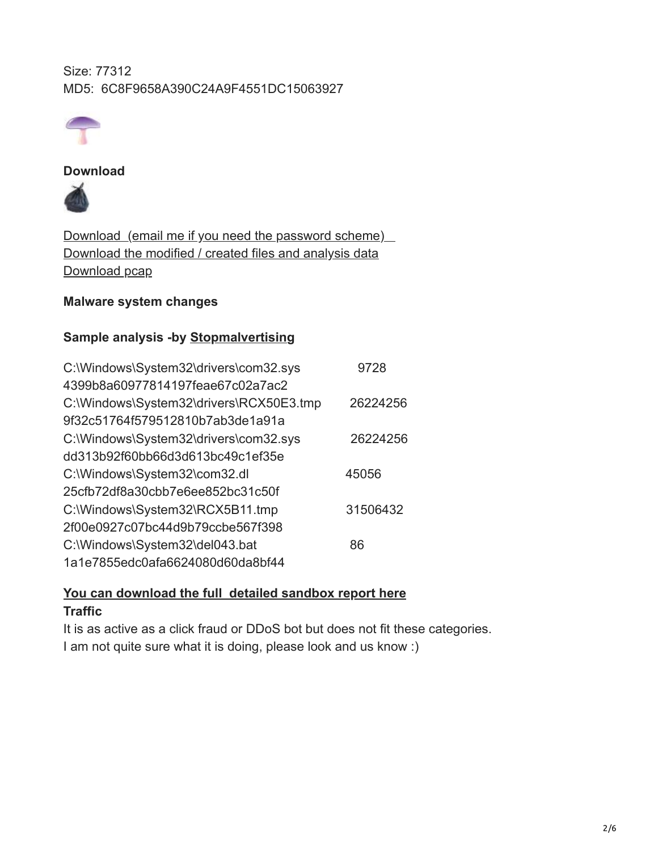Size: 77312 MD5: 6C8F9658A390C24A9F4551DC15063927



#### **Download**



Download (email me if you need the password scheme) [Download the modified / created files and analysis data](http://www.mediafire.com/?71gd6nv5y5cy7x5) [Download pcap](http://www.mediafire.com/?71gd6nv5y5cy7x5)

## **Malware system changes**

## **Sample analysis -by [Stopmalvertisin](http://stopmalvertising.com/rootkits/analysis-of-darkmegi-aka-npcdark.html)g**

| C:\Windows\System32\drivers\com32.sys   | 9728     |
|-----------------------------------------|----------|
| 4399b8a60977814197feae67c02a7ac2        |          |
| C:\Windows\System32\drivers\RCX50E3.tmp | 26224256 |
| 9f32c51764f579512810b7ab3de1a91a        |          |
| C:\Windows\System32\drivers\com32.sys   | 26224256 |
| dd313b92f60bb66d3d613bc49c1ef35e        |          |
| C:\Windows\System32\com32.dl            | 45056    |
| 25cfb72df8a30cbb7e6ee852bc31c50f        |          |
| C:\Windows\System32\RCX5B11.tmp         | 31506432 |
| 2f00e0927c07bc44d9b79ccbe567f398        |          |
| C:\Windows\System32\del043.bat          | 86       |
| 1a1e7855edc0afa6624080d60da8bf44        |          |

# **[You can download the full detailed sandbox report here](http://www.mediafire.com/view/?gtpsz1b7iot308h) Traffic**

It is as active as a click fraud or DDoS bot but does not fit these categories. I am not quite sure what it is doing, please look and us know :)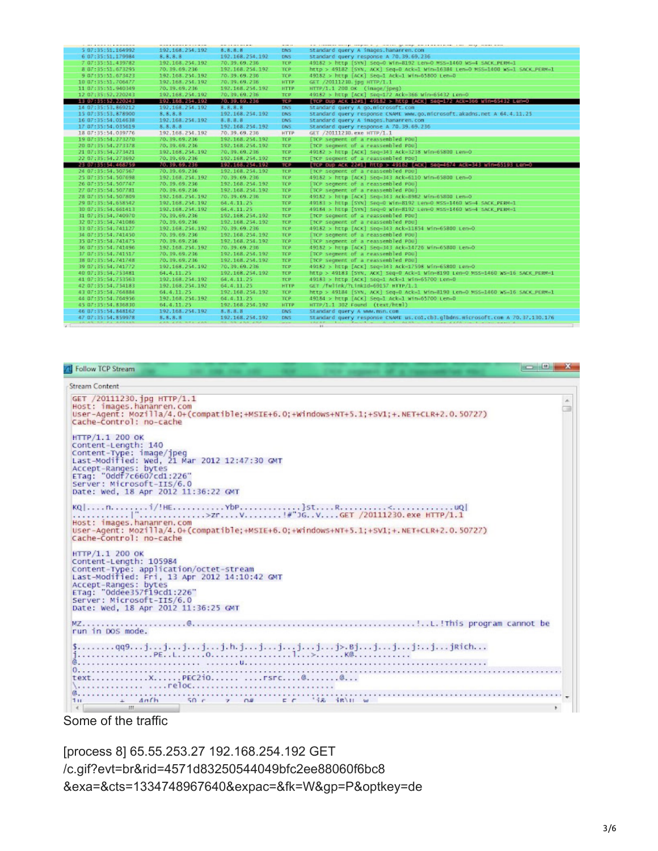|                     |                 |                 | ----        | as conservating depending control process and continuous control was an ex-   |
|---------------------|-----------------|-----------------|-------------|-------------------------------------------------------------------------------|
| 5 07:35:51.164992   | 192.168.254.192 | 8.8.8.8         | DNS.        | standard query A images hanannen, con-                                        |
| 6 07:35:51.179984   | 8, 8, 8, 8      | 192.168.254.192 | DNS:        | Standard query response A 70, 39, 69, 236                                     |
| 7 07:35:51.439782   | 192.168.254.192 | 70.39.69.236    | TCP         | 49182 > http [SYN] Seq=0 win=8192 Len=0 MSS=1460 WS=4 SACK_PERM=1             |
| 8 07:35:51.673295   | 70, 39, 69, 236 | 192.168.254.192 | <b>TCP</b>  | http > 49182 [SYN, ACK] Seg=0 Ack=1 Win=16384 Len=0 MSS=1400 WS=1 SACK_PERM=1 |
| 9 07:35:51.673423   | 192.168.254.192 | 70.39.69.236    | <b>TCP</b>  | 49182 > http [ACK] Seq=1 Ack=1 Win=65800 Len=0                                |
| 10 07:35:51.706477  | 192.168.254.192 | 70.39.69.236    | <b>HTTP</b> | GET /20111230. ipg HTTP/1.1                                                   |
| 11 07:35:51.940349  | 70.39.69.236    | 192.168.254.192 | <b>HTTP</b> | иттр/1.1 200 ок (image/ipeg)                                                  |
| 12 07:35:52.220243  | 192.168.254.192 | 70.39.69.236    | TCP         | 49182 > http [ACK] Seg=172 Ack=366 Win-65432 Len=0                            |
| 13 07:35:52, 220243 | 192.168.254.192 | 70.39.69.236    | <b>TOP</b>  | [TCP Dup ACK 12#1] 49182 > http [ACK] 54g=172 ACk=366 WTN=65432 Len=0         |
| 14 07:35:53.869212  | 192.168.254.192 | 8, 8, 8, 8      | DNS.        | standard query A go.microsoft.com                                             |
| 15 07:35:53,878900  | 8, 8, 8, 8      | 192.168.254.192 | DNS         | Standard query response CNAME www.go.microsoft.akadns.net A 64.4.11.25        |
| 16 07:35:54,014638  | 192.168.254.192 | 8, 8, 8, 8      | DNS:        | Standard query A images, hananren, con                                        |
| 17 07:35:54.035619  | 8, 8, 8, 8      | 192.168.254.192 | DNS         | Standard query response A 70, 39, 69, 236                                     |
| 18 07:35:54.039776  | 192.168.254.192 | 70.39.69.236    | <b>HTTP</b> | GET /20111230. exe HTTP/1.1                                                   |
| 19 07:35:54.273270  | 70.39.69.236    | 192.168.254.192 | <b>TCP</b>  | [TCP segment of a reassembled PDU]                                            |
| 20 07:35:54.273378  | 70, 39, 69, 236 | 192.168.254.192 | <b>TCP</b>  | [TCP segment of a reassembled PDU]                                            |
| 21 07:35:54.273421  | 192.168.254.192 | 70.39.69.236    | TCP         | 49182 > http [ACK] 54g-343 Ack-3238 Win-65800 Len-0                           |
|                     |                 |                 |             |                                                                               |
| 22 07:35:54.273692  | 70.39.69.236    | 192.168.254.192 | TCP         | [TCP segment of a reassembled PDU]                                            |
| 23 07:35:54.468759  | 70.39.69.236    | 192.168.254.192 | TEP         | [TCP DUP ACK 22#1] http > 49182 [ACK] 540=4674 ACk=343 win=65193 Len=0        |
| 24 07:35:54, 507567 | 70, 39, 69, 236 | 192.168.254.192 | <b>TCP</b>  | [TCP segment of a reassembled PDU]                                            |
| 25 07:35:54, 507698 | 192.168.254.192 | 70.39.69.236    | <b>TCP</b>  | 49182 > http [ACK] Seq=343 Ack=6110 Win-65800 Len-0                           |
| 26 07:35:54, 507747 | 70, 39, 69, 236 | 192.168.254.192 | <b>TCP</b>  | [TCP segment of a reassembled PDU]                                            |
| 27 07:35:54.507781  | 70.39.69.236    | 192.168.254.192 | TCP         | [TCP segment of a reassembled PDU]                                            |
| 28 07:35:54.507809  | 192.168.254.192 | 70.39.69.236    | <b>TCP</b>  | 49182 > http [ACK] Seq-343 Ack-8982 Win-65800 Len-0                           |
| 29 07:35:54.658542  | 192.168.254.192 | 64.4.11.25      | TCP         | 49181 > http [SYN] Seq=0 win=8192 Len=0 MSS=1460 WS=4 SACK_PERM=1             |
| 30 07:35:54.661413  | 192.168.254.192 | 64.4.11.25      | TCP         | 49184 > http [SYN] Seq=0 win=8192 Len=0 MSS=1460 WS=4 SACK_PERM=1             |
| 31 07:35:54.740970  | 70.39.69.236    | 192.168.254.192 | TCP         | [TCP segment of a reassembled PDU]                                            |
| 32 07:35:54.741086  | 70.39.69.236    | 192.168.254.192 | TCP         | [TCP segment of a reassembled PDU]                                            |
| 33 07:35:54,741127  | 192.168.254.192 | 70.39.69.236    | TCP         | 49182 > http [ACK] Seg=343 Ack=11854 Win=65800 Len=0                          |
| 34 07:35:54,741450  | 70.39.69.236    | 192.168.254.192 | <b>TCP</b>  | [TCP segment of a reassembled PDU]                                            |
| 35 07:35:54,741475  | 70, 39, 69, 236 | 192.168.254.192 | <b>TCP</b>  | [TCP segment of a reassembled PDU]                                            |
| 36 07:35:54.741496  | 192.168.254.192 | 70.39.69.236    | <b>TCP</b>  | 49182 > http [ACK] Seq=343 Ack=14726 Win-65800 Len-O                          |
| 37 07:35:54.741517  | 70.39.69.236    | 192.168.254.192 | <b>TCP</b>  | [TCP segment of a reassembled PDU]                                            |
| 38 07:35:54,741748  | 70.39.69.236    | 192.168.254.192 | TCP         | [TCP segment of a reassembled PDU]                                            |
| 39 07:35:54.741772  | 192.163.254.192 | 70.39.69.236    | TCP         | 49182 > http [ACK] 500-343 Ack-17598 Win-65800 Len-O                          |
| 40 07:35:54.753481  | 64.4.11.25      | 192.168.254.192 | TCP         | http > 49183 [5YN, ACK] 5eq=0 Ack=1 Win=8190 Len=0 MS5=1460 WS=16 SACK PERM=1 |
| 41 07:35:54.753563  | 192.168.254.192 | 64.4.11.25      | TCP         | 49183 > http [ACK] Seq-1 Ack-1 win-65700 Len-0                                |
| 42 07:35:54.754183  | 192.168.254.192 | 64.4.11.25      | <b>HTTP</b> | GET /fwlink/?Link1d=69157 HTTP/1.1                                            |
| 43 07:35:54,764884  | 64, 4, 11, 25   | 192.168.254.192 | <b>TCP</b>  | http > 49184 [SYN, ACK] Seg=0 Ack=1 Win=8190 Len=0 MSS=1460 WS=16 SACK_PERM=1 |
| 44 07:35:54,764956  | 192.168.254.192 | 64.4.11.25      | <b>TCP</b>  | 49184 > http [ACK] Seq=1 Ack=1 win=65700 Len=0                                |
| 45 07:35:54.836830  | 64.4.11.25      | 192.168.254.192 | <b>HTTP</b> | HTTP/1.1 302 Found (text/html)                                                |
| 46 07:35:54.848162  | 192.168.254.192 | 8.8.8.8         | DNS         | Standard query A www.msn.com                                                  |
| 47 07:35:54.859978  | 8, 8, 8, 8      | 192.168.254.192 | DNS.        | Standard query response CNAME us.col.cbl.glbdns.microsoft.com A 70.37.130.176 |
|                     |                 |                 |             | THE R. P. LEWIS CO., LANSING, MICH. 49-14039-1-120-2                          |

**1 Follow TCP Stream** 

```
Stream Content
GET /20111230.jpg HTTP/1.1<br>Host: images.hananren.com<br>User-Agent: Mozilla/4.0+(compatible;+MSIE+6.0;+Windows+NT+5.1;+SV1;+.NET+CLR+2.0.50727)
                                                                                                                                                 \mathbb Aœ
Cache-Control: no-cache
НТТР/1.1 200 ОК
Content-Length: 140
Content-Length: 140<br>Content-Type: image/jpeg<br>Last-Modified: Wed, 21 Mar 2012 12:47:30 GMT<br>Last-Modified: Wed, 21 Mar 2012 12:47:30 GMT<br>Accept-Ranges: bytes<br>ETag: "Oddf7c6607cd1:226"<br>Server: Microsoft-IIS/6.0<br>Date: Wed, 18 
Cache-Control: no-cache
HTTP/1.1 200 OK<br>Content-Length: 105984
Content-Length: 105984<br>Content-Type: application/octet-stream<br>Last-Modified: Fri, 13 Apr 2012 14:10:42 GMT<br>Accept-Ranges: bytes<br>ETag: "Oddee357f19cd1:226"<br>Server: Microsoft-IIS/6.0<br>Date: wed, 18 Apr 2012 11:36:25 GMT
MZ..............<br>run in DOS mode.
                    \left\{\n \begin{array}{l}\n 1. & \text{if } q = 1, \ldots, 1, \ldots, 1, \ldots, 1, \ldots, 1, \ldots, 1, \ldots, 1, \ldots, 1, \ldots, 1, \ldots, 1, \ldots, 1, \ldots, 1, \ldots, 1, \ldots, 1, \ldots, 1, \ldots, 1, \ldots, 1, \ldots, 1, \ldots, 1, \ldots, 1, \ldots, 1, \ldots, 1, \ldots, 1, \ldots, 1, \ldots, 1, \ldots, 1, \ldots, 1, \ldots, 1, \ldtext.............X......PEC2i0...... .....rsrc....@........@...
  \frac{1}{10}<br>Some of the traffic
```
[process 8] 65.55.253.27 192.168.254.192 GET /c.gif?evt=br&rid=4571d83250544049bfc2ee88060f6bc8 &exa=&cts=1334748967640&expac=&fk=W&gp=P&optkey=de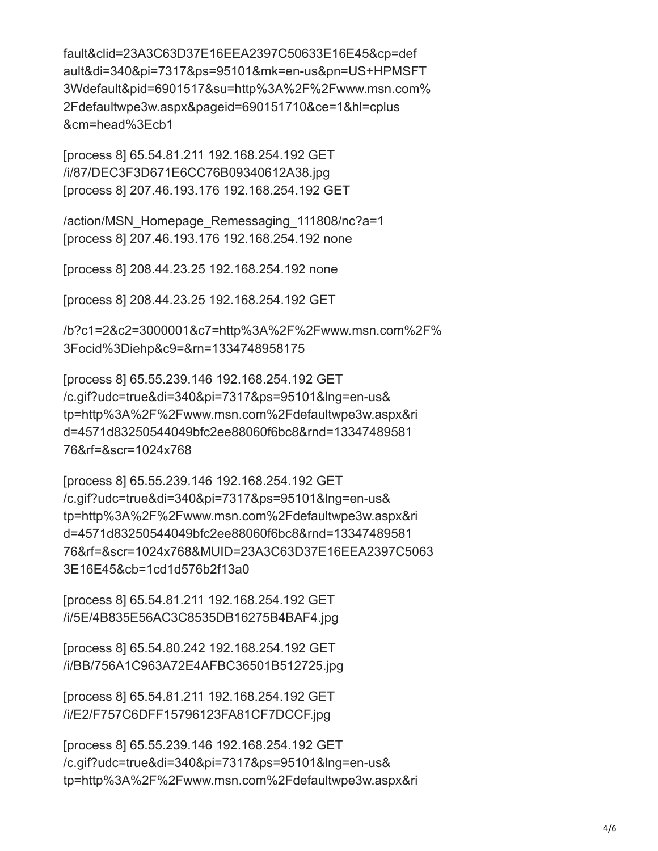fault&clid=23A3C63D37E16EEA2397C50633E16E45&cp=def ault&di=340&pi=7317&ps=95101&mk=en-us&pn=US+HPMSFT 3Wdefault&pid=6901517&su=http%3A%2F%2Fwww.msn.com% 2Fdefaultwpe3w.aspx&pageid=690151710&ce=1&hl=cplus &cm=head%3Ecb1

[process 8] 65.54.81.211 192.168.254.192 GET /i/87/DEC3F3D671E6CC76B09340612A38.jpg [process 8] 207.46.193.176 192.168.254.192 GET

/action/MSN\_Homepage\_Remessaging\_111808/nc?a=1 [process 8] 207.46.193.176 192.168.254.192 none

[process 8] 208.44.23.25 192.168.254.192 none

[process 8] 208.44.23.25 192.168.254.192 GET

/b?c1=2&c2=3000001&c7=http%3A%2F%2Fwww.msn.com%2F% 3Focid%3Diehp&c9=&rn=1334748958175

[process 8] 65.55.239.146 192.168.254.192 GET /c.gif?udc=true&di=340&pi=7317&ps=95101&lng=en-us& tp=http%3A%2F%2Fwww.msn.com%2Fdefaultwpe3w.aspx&ri d=4571d83250544049bfc2ee88060f6bc8&rnd=13347489581 76&rf=&scr=1024x768

[process 8] 65.55.239.146 192.168.254.192 GET /c.gif?udc=true&di=340&pi=7317&ps=95101&lng=en-us& tp=http%3A%2F%2Fwww.msn.com%2Fdefaultwpe3w.aspx&ri d=4571d83250544049bfc2ee88060f6bc8&rnd=13347489581 76&rf=&scr=1024x768&MUID=23A3C63D37E16EEA2397C5063 3E16E45&cb=1cd1d576b2f13a0

[process 8] 65.54.81.211 192.168.254.192 GET /i/5E/4B835E56AC3C8535DB16275B4BAF4.jpg

[process 8] 65.54.80.242 192.168.254.192 GET /i/BB/756A1C963A72E4AFBC36501B512725.jpg

[process 8] 65.54.81.211 192.168.254.192 GET /i/E2/F757C6DFF15796123FA81CF7DCCF.jpg

[process 8] 65.55.239.146 192.168.254.192 GET /c.gif?udc=true&di=340&pi=7317&ps=95101&lng=en-us& tp=http%3A%2F%2Fwww.msn.com%2Fdefaultwpe3w.aspx&ri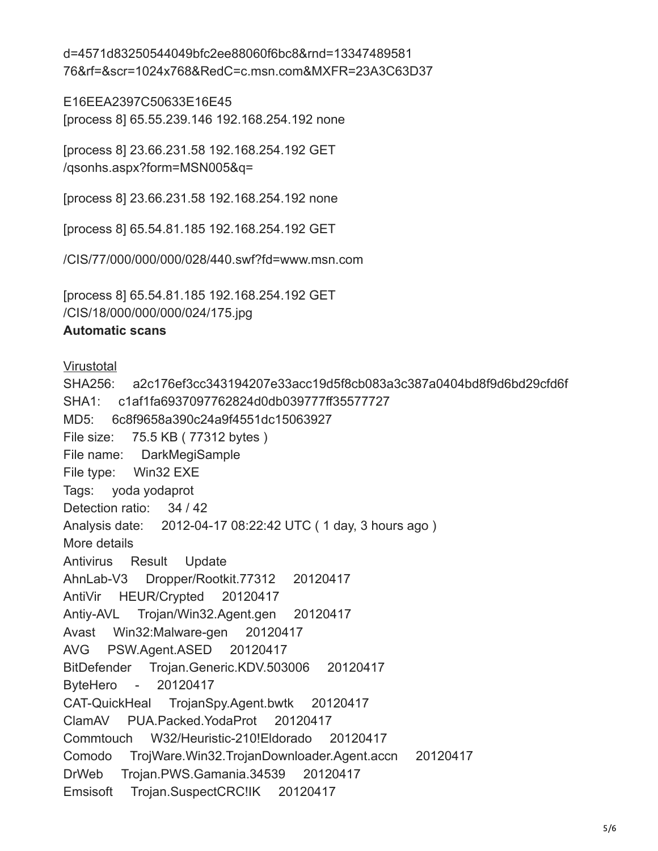d=4571d83250544049bfc2ee88060f6bc8&rnd=13347489581 76&rf=&scr=1024x768&RedC=c.msn.com&MXFR=23A3C63D37

E16EEA2397C50633E16E45 [process 8] 65.55.239.146 192.168.254.192 none

[process 8] 23.66.231.58 192.168.254.192 GET /qsonhs.aspx?form=MSN005&q=

[process 8] 23.66.231.58 192.168.254.192 none

[process 8] 65.54.81.185 192.168.254.192 GET

/CIS/77/000/000/000/028/440.swf?fd=www.msn.com

[process 8] 65.54.81.185 192.168.254.192 GET /CIS/18/000/000/000/024/175.jpg

#### **Automatic scans**

**[Virustotal](https://www.virustotal.com/file/a2c176ef3cc343194207e33acc19d5f8cb083a3c387a0404bd8f9d6bd29cfd6f/analysis/)** 

SHA256: a2c176ef3cc343194207e33acc19d5f8cb083a3c387a0404bd8f9d6bd29cfd6f SHA1: c1af1fa6937097762824d0db039777ff35577727 MD5: 6c8f9658a390c24a9f4551dc15063927 File size: 75.5 KB ( 77312 bytes ) File name: DarkMegiSample File type: Win32 EXE Tags: yoda yodaprot Detection ratio: 34 / 42 Analysis date: 2012-04-17 08:22:42 UTC ( 1 day, 3 hours ago ) More details Antivirus Result Update AhnLab-V3 Dropper/Rootkit.77312 20120417 AntiVir HEUR/Crypted 20120417 Antiy-AVL Trojan/Win32.Agent.gen 20120417 Avast Win32:Malware-gen 20120417 AVG PSW.Agent.ASED 20120417 BitDefender Trojan.Generic.KDV.503006 20120417 ByteHero - 20120417 CAT-QuickHeal TrojanSpy.Agent.bwtk 20120417 ClamAV PUA.Packed.YodaProt 20120417 Commtouch W32/Heuristic-210!Eldorado 20120417 Comodo TrojWare.Win32.TrojanDownloader.Agent.accn 20120417 DrWeb Trojan.PWS.Gamania.34539 20120417 Emsisoft Trojan.SuspectCRC!IK 20120417